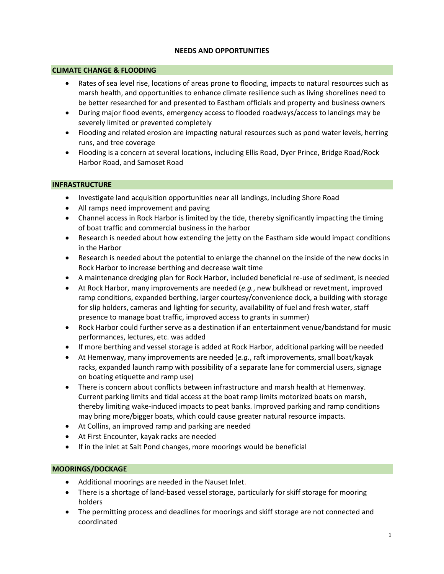#### **NEEDS AND OPPORTUNITIES**

#### **CLIMATE CHANGE & FLOODING**

- Rates of sea level rise, locations of areas prone to flooding, impacts to natural resources such as marsh health, and opportunities to enhance climate resilience such as living shorelines need to be better researched for and presented to Eastham officials and property and business owners
- During major flood events, emergency access to flooded roadways/access to landings may be severely limited or prevented completely
- Flooding and related erosion are impacting natural resources such as pond water levels, herring runs, and tree coverage
- Flooding is a concern at several locations, including Ellis Road, Dyer Prince, Bridge Road/Rock Harbor Road, and Samoset Road

#### **INFRASTRUCTURE**

- Investigate land acquisition opportunities near all landings, including Shore Road
- All ramps need improvement and paving
- Channel access in Rock Harbor is limited by the tide, thereby significantly impacting the timing of boat traffic and commercial business in the harbor
- Research is needed about how extending the jetty on the Eastham side would impact conditions in the Harbor
- Research is needed about the potential to enlarge the channel on the inside of the new docks in Rock Harbor to increase berthing and decrease wait time
- A maintenance dredging plan for Rock Harbor, included beneficial re-use of sediment, is needed
- At Rock Harbor, many improvements are needed (*e.g.*, new bulkhead or revetment, improved ramp conditions, expanded berthing, larger courtesy/convenience dock, a building with storage for slip holders, cameras and lighting for security, availability of fuel and fresh water, staff presence to manage boat traffic, improved access to grants in summer)
- Rock Harbor could further serve as a destination if an entertainment venue/bandstand for music performances, lectures, etc. was added
- If more berthing and vessel storage is added at Rock Harbor, additional parking will be needed
- At Hemenway, many improvements are needed (*e.g.*, raft improvements, small boat/kayak racks, expanded launch ramp with possibility of a separate lane for commercial users, signage on boating etiquette and ramp use)
- There is concern about conflicts between infrastructure and marsh health at Hemenway. Current parking limits and tidal access at the boat ramp limits motorized boats on marsh, thereby limiting wake-induced impacts to peat banks. Improved parking and ramp conditions may bring more/bigger boats, which could cause greater natural resource impacts.
- At Collins, an improved ramp and parking are needed
- At First Encounter, kayak racks are needed
- If in the inlet at Salt Pond changes, more moorings would be beneficial

## **MOORINGS/DOCKAGE**

- Additional moorings are needed in the Nauset Inlet.
- There is a shortage of land-based vessel storage, particularly for skiff storage for mooring holders
- The permitting process and deadlines for moorings and skiff storage are not connected and coordinated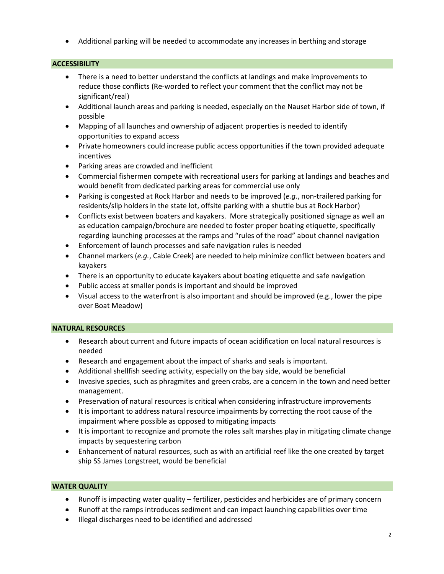Additional parking will be needed to accommodate any increases in berthing and storage

## **ACCESSIBILITY**

- There is a need to better understand the conflicts at landings and make improvements to reduce those conflicts (Re-worded to reflect your comment that the conflict may not be significant/real)
- Additional launch areas and parking is needed, especially on the Nauset Harbor side of town, if possible
- Mapping of all launches and ownership of adjacent properties is needed to identify opportunities to expand access
- Private homeowners could increase public access opportunities if the town provided adequate incentives
- Parking areas are crowded and inefficient
- Commercial fishermen compete with recreational users for parking at landings and beaches and would benefit from dedicated parking areas for commercial use only
- Parking is congested at Rock Harbor and needs to be improved (*e.g.*, non-trailered parking for residents/slip holders in the state lot, offsite parking with a shuttle bus at Rock Harbor)
- Conflicts exist between boaters and kayakers. More strategically positioned signage as well an as education campaign/brochure are needed to foster proper boating etiquette, specifically regarding launching processes at the ramps and "rules of the road" about channel navigation
- Enforcement of launch processes and safe navigation rules is needed
- Channel markers (*e.g.*, Cable Creek) are needed to help minimize conflict between boaters and kayakers
- There is an opportunity to educate kayakers about boating etiquette and safe navigation
- Public access at smaller ponds is important and should be improved
- Visual access to the waterfront is also important and should be improved (e.g., lower the pipe over Boat Meadow)

## **NATURAL RESOURCES**

- Research about current and future impacts of ocean acidification on local natural resources is needed
- Research and engagement about the impact of sharks and seals is important.
- Additional shellfish seeding activity, especially on the bay side, would be beneficial
- Invasive species, such as phragmites and green crabs, are a concern in the town and need better management.
- Preservation of natural resources is critical when considering infrastructure improvements
- It is important to address natural resource impairments by correcting the root cause of the impairment where possible as opposed to mitigating impacts
- It is important to recognize and promote the roles salt marshes play in mitigating climate change impacts by sequestering carbon
- Enhancement of natural resources, such as with an artificial reef like the one created by target ship SS James Longstreet, would be beneficial

## **WATER QUALITY**

- Runoff is impacting water quality fertilizer, pesticides and herbicides are of primary concern
- Runoff at the ramps introduces sediment and can impact launching capabilities over time
- Illegal discharges need to be identified and addressed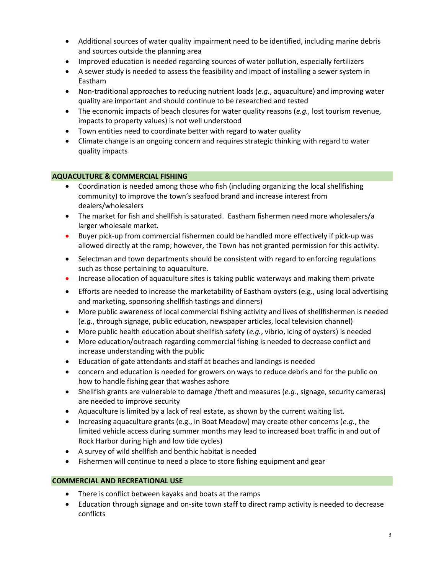- Additional sources of water quality impairment need to be identified, including marine debris and sources outside the planning area
- Improved education is needed regarding sources of water pollution, especially fertilizers
- A sewer study is needed to assess the feasibility and impact of installing a sewer system in Eastham
- Non-traditional approaches to reducing nutrient loads (*e.g.*, aquaculture) and improving water quality are important and should continue to be researched and tested
- The economic impacts of beach closures for water quality reasons (*e.g.,* lost tourism revenue, impacts to property values) is not well understood
- Town entities need to coordinate better with regard to water quality
- Climate change is an ongoing concern and requires strategic thinking with regard to water quality impacts

# **AQUACULTURE & COMMERCIAL FISHING**

- Coordination is needed among those who fish (including organizing the local shellfishing community) to improve the town's seafood brand and increase interest from dealers/wholesalers
- The market for fish and shellfish is saturated. Eastham fishermen need more wholesalers/a larger wholesale market.
- Buyer pick-up from commercial fishermen could be handled more effectively if pick-up was allowed directly at the ramp; however, the Town has not granted permission for this activity.
- Selectman and town departments should be consistent with regard to enforcing regulations such as those pertaining to aquaculture.
- Increase allocation of aquaculture sites is taking public waterways and making them private
- Efforts are needed to increase the marketability of Eastham oysters (e.g., using local advertising and marketing, sponsoring shellfish tastings and dinners)
- More public awareness of local commercial fishing activity and lives of shellfishermen is needed (*e.g.*, through signage, public education, newspaper articles, local television channel)
- More public health education about shellfish safety (*e.g.*, vibrio, icing of oysters) is needed
- More education/outreach regarding commercial fishing is needed to decrease conflict and increase understanding with the public
- Education of gate attendants and staff at beaches and landings is needed
- concern and education is needed for growers on ways to reduce debris and for the public on how to handle fishing gear that washes ashore
- Shellfish grants are vulnerable to damage /theft and measures (*e.g.*, signage, security cameras) are needed to improve security
- Aquaculture is limited by a lack of real estate, as shown by the current waiting list.
- Increasing aquaculture grants (e.g., in Boat Meadow) may create other concerns (*e.g.*, the limited vehicle access during summer months may lead to increased boat traffic in and out of Rock Harbor during high and low tide cycles)
- A survey of wild shellfish and benthic habitat is needed
- Fishermen will continue to need a place to store fishing equipment and gear

# **COMMERCIAL AND RECREATIONAL USE**

- There is conflict between kayaks and boats at the ramps
- Education through signage and on-site town staff to direct ramp activity is needed to decrease conflicts